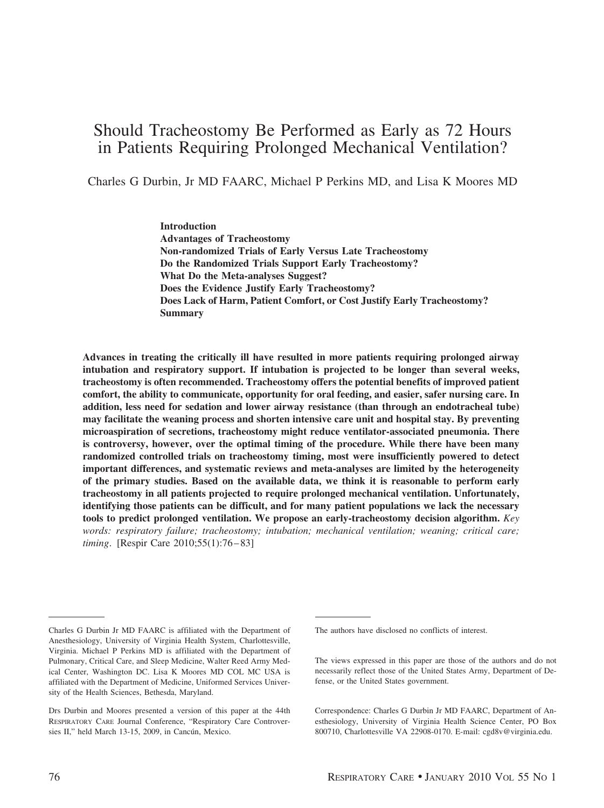# Should Tracheostomy Be Performed as Early as 72 Hours in Patients Requiring Prolonged Mechanical Ventilation?

Charles G Durbin, Jr MD FAARC, Michael P Perkins MD, and Lisa K Moores MD

**Introduction Advantages of Tracheostomy Non-randomized Trials of Early Versus Late Tracheostomy Do the Randomized Trials Support Early Tracheostomy? What Do the Meta-analyses Suggest? Does the Evidence Justify Early Tracheostomy? Does Lack of Harm, Patient Comfort, or Cost Justify Early Tracheostomy? Summary**

**Advances in treating the critically ill have resulted in more patients requiring prolonged airway intubation and respiratory support. If intubation is projected to be longer than several weeks, tracheostomy is often recommended. Tracheostomy offers the potential benefits of improved patient comfort, the ability to communicate, opportunity for oral feeding, and easier, safer nursing care. In addition, less need for sedation and lower airway resistance (than through an endotracheal tube) may facilitate the weaning process and shorten intensive care unit and hospital stay. By preventing microaspiration of secretions, tracheostomy might reduce ventilator-associated pneumonia. There is controversy, however, over the optimal timing of the procedure. While there have been many randomized controlled trials on tracheostomy timing, most were insufficiently powered to detect important differences, and systematic reviews and meta-analyses are limited by the heterogeneity of the primary studies. Based on the available data, we think it is reasonable to perform early tracheostomy in all patients projected to require prolonged mechanical ventilation. Unfortunately, identifying those patients can be difficult, and for many patient populations we lack the necessary tools to predict prolonged ventilation. We propose an early-tracheostomy decision algorithm.** *Key words: respiratory failure; tracheostomy; intubation; mechanical ventilation; weaning; critical care; timing*. [Respir Care 2010;55(1):76 – 83]

Charles G Durbin Jr MD FAARC is affiliated with the Department of Anesthesiology, University of Virginia Health System, Charlottesville, Virginia. Michael P Perkins MD is affiliated with the Department of Pulmonary, Critical Care, and Sleep Medicine, Walter Reed Army Medical Center, Washington DC. Lisa K Moores MD COL MC USA is affiliated with the Department of Medicine, Uniformed Services University of the Health Sciences, Bethesda, Maryland.

Drs Durbin and Moores presented a version of this paper at the 44th RESPIRATORY CARE Journal Conference, "Respiratory Care Controversies II," held March 13-15, 2009, in Cancún, Mexico.

The authors have disclosed no conflicts of interest.

The views expressed in this paper are those of the authors and do not necessarily reflect those of the United States Army, Department of Defense, or the United States government.

Correspondence: Charles G Durbin Jr MD FAARC, Department of Anesthesiology, University of Virginia Health Science Center, PO Box 800710, Charlottesville VA 22908-0170. E-mail: cgd8v@virginia.edu.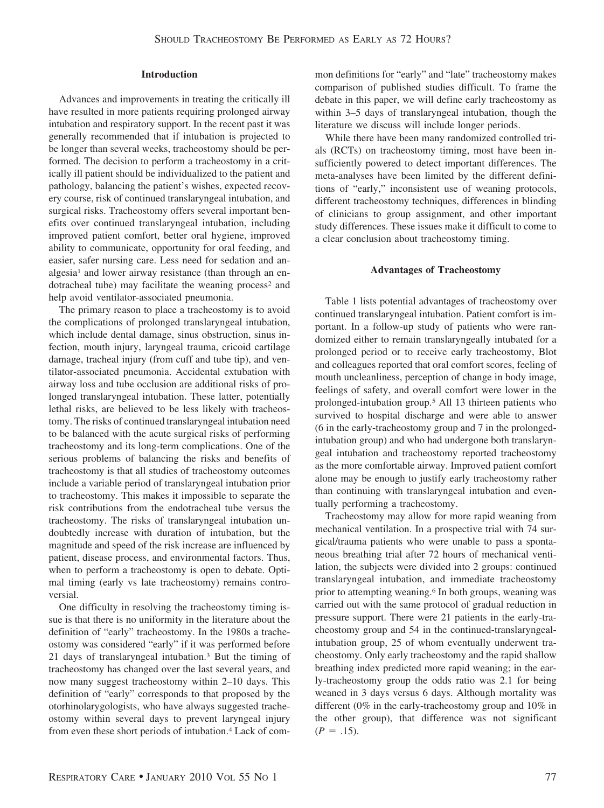#### **Introduction**

Advances and improvements in treating the critically ill have resulted in more patients requiring prolonged airway intubation and respiratory support. In the recent past it was generally recommended that if intubation is projected to be longer than several weeks, tracheostomy should be performed. The decision to perform a tracheostomy in a critically ill patient should be individualized to the patient and pathology, balancing the patient's wishes, expected recovery course, risk of continued translaryngeal intubation, and surgical risks. Tracheostomy offers several important benefits over continued translaryngeal intubation, including improved patient comfort, better oral hygiene, improved ability to communicate, opportunity for oral feeding, and easier, safer nursing care. Less need for sedation and analgesia<sup>1</sup> and lower airway resistance (than through an endotracheal tube) may facilitate the weaning process<sup>2</sup> and help avoid ventilator-associated pneumonia.

The primary reason to place a tracheostomy is to avoid the complications of prolonged translaryngeal intubation, which include dental damage, sinus obstruction, sinus infection, mouth injury, laryngeal trauma, cricoid cartilage damage, tracheal injury (from cuff and tube tip), and ventilator-associated pneumonia. Accidental extubation with airway loss and tube occlusion are additional risks of prolonged translaryngeal intubation. These latter, potentially lethal risks, are believed to be less likely with tracheostomy. The risks of continued translaryngeal intubation need to be balanced with the acute surgical risks of performing tracheostomy and its long-term complications. One of the serious problems of balancing the risks and benefits of tracheostomy is that all studies of tracheostomy outcomes include a variable period of translaryngeal intubation prior to tracheostomy. This makes it impossible to separate the risk contributions from the endotracheal tube versus the tracheostomy. The risks of translaryngeal intubation undoubtedly increase with duration of intubation, but the magnitude and speed of the risk increase are influenced by patient, disease process, and environmental factors. Thus, when to perform a tracheostomy is open to debate. Optimal timing (early vs late tracheostomy) remains controversial.

One difficulty in resolving the tracheostomy timing issue is that there is no uniformity in the literature about the definition of "early" tracheostomy. In the 1980s a tracheostomy was considered "early" if it was performed before 21 days of translaryngeal intubation.3 But the timing of tracheostomy has changed over the last several years, and now many suggest tracheostomy within 2–10 days. This definition of "early" corresponds to that proposed by the otorhinolarygologists, who have always suggested tracheostomy within several days to prevent laryngeal injury from even these short periods of intubation.4 Lack of common definitions for "early" and "late" tracheostomy makes comparison of published studies difficult. To frame the debate in this paper, we will define early tracheostomy as within 3–5 days of translaryngeal intubation, though the literature we discuss will include longer periods.

While there have been many randomized controlled trials (RCTs) on tracheostomy timing, most have been insufficiently powered to detect important differences. The meta-analyses have been limited by the different definitions of "early," inconsistent use of weaning protocols, different tracheostomy techniques, differences in blinding of clinicians to group assignment, and other important study differences. These issues make it difficult to come to a clear conclusion about tracheostomy timing.

#### **Advantages of Tracheostomy**

Table 1 lists potential advantages of tracheostomy over continued translaryngeal intubation. Patient comfort is important. In a follow-up study of patients who were randomized either to remain translaryngeally intubated for a prolonged period or to receive early tracheostomy, Blot and colleagues reported that oral comfort scores, feeling of mouth uncleanliness, perception of change in body image, feelings of safety, and overall comfort were lower in the prolonged-intubation group.5 All 13 thirteen patients who survived to hospital discharge and were able to answer (6 in the early-tracheostomy group and 7 in the prolongedintubation group) and who had undergone both translaryngeal intubation and tracheostomy reported tracheostomy as the more comfortable airway. Improved patient comfort alone may be enough to justify early tracheostomy rather than continuing with translaryngeal intubation and eventually performing a tracheostomy.

Tracheostomy may allow for more rapid weaning from mechanical ventilation. In a prospective trial with 74 surgical/trauma patients who were unable to pass a spontaneous breathing trial after 72 hours of mechanical ventilation, the subjects were divided into 2 groups: continued translaryngeal intubation, and immediate tracheostomy prior to attempting weaning.6 In both groups, weaning was carried out with the same protocol of gradual reduction in pressure support. There were 21 patients in the early-tracheostomy group and 54 in the continued-translaryngealintubation group, 25 of whom eventually underwent tracheostomy. Only early tracheostomy and the rapid shallow breathing index predicted more rapid weaning; in the early-tracheostomy group the odds ratio was 2.1 for being weaned in 3 days versus 6 days. Although mortality was different (0% in the early-tracheostomy group and 10% in the other group), that difference was not significant  $(P = .15)$ .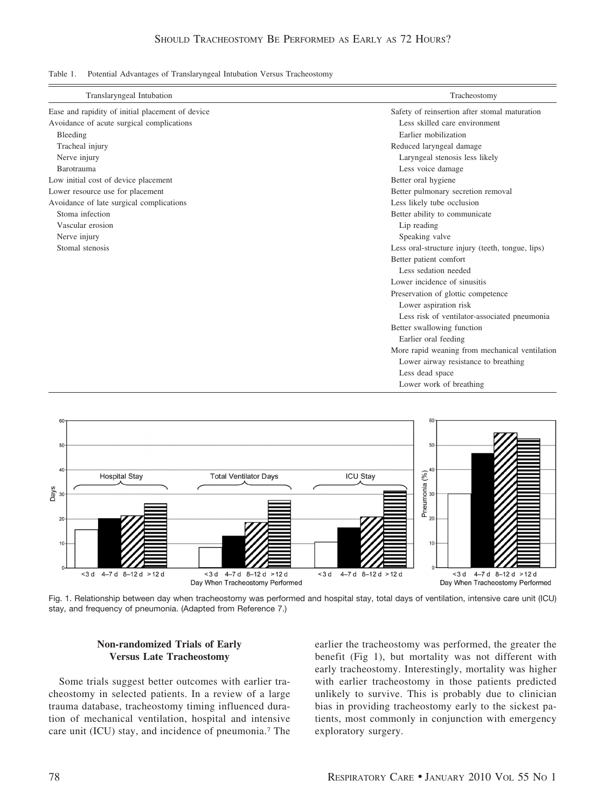Table 1. Potential Advantages of Translaryngeal Intubation Versus Tracheostomy

| Translaryngeal Intubation                        | Tracheostomy                                     |  |
|--------------------------------------------------|--------------------------------------------------|--|
| Ease and rapidity of initial placement of device | Safety of reinsertion after stomal maturation    |  |
| Avoidance of acute surgical complications        | Less skilled care environment                    |  |
| Bleeding                                         | Earlier mobilization                             |  |
| Tracheal injury                                  | Reduced laryngeal damage                         |  |
| Nerve injury                                     | Laryngeal stenosis less likely                   |  |
| Barotrauma                                       | Less voice damage                                |  |
| Low initial cost of device placement             | Better oral hygiene                              |  |
| Lower resource use for placement                 | Better pulmonary secretion removal               |  |
| Avoidance of late surgical complications         | Less likely tube occlusion                       |  |
| Stoma infection                                  | Better ability to communicate                    |  |
| Vascular erosion                                 | Lip reading                                      |  |
| Nerve injury                                     | Speaking valve                                   |  |
| Stomal stenosis                                  | Less oral-structure injury (teeth, tongue, lips) |  |
|                                                  | Better patient comfort                           |  |
|                                                  | Less sedation needed                             |  |
|                                                  | Lower incidence of sinusitis                     |  |
|                                                  | Preservation of glottic competence               |  |
|                                                  | Lower aspiration risk                            |  |
|                                                  | Less risk of ventilator-associated pneumonia     |  |
|                                                  | Better swallowing function                       |  |
|                                                  | Earlier oral feeding                             |  |
|                                                  | More rapid weaning from mechanical ventilation   |  |
|                                                  | Lower airway resistance to breathing             |  |
|                                                  | Less dead space                                  |  |
|                                                  | Lower work of breathing                          |  |



Fig. 1. Relationship between day when tracheostomy was performed and hospital stay, total days of ventilation, intensive care unit (ICU) stay, and frequency of pneumonia. (Adapted from Reference 7.)

## **Non-randomized Trials of Early Versus Late Tracheostomy**

Some trials suggest better outcomes with earlier tracheostomy in selected patients. In a review of a large trauma database, tracheostomy timing influenced duration of mechanical ventilation, hospital and intensive care unit (ICU) stay, and incidence of pneumonia.7 The earlier the tracheostomy was performed, the greater the benefit (Fig 1), but mortality was not different with early tracheostomy. Interestingly, mortality was higher with earlier tracheostomy in those patients predicted unlikely to survive. This is probably due to clinician bias in providing tracheostomy early to the sickest patients, most commonly in conjunction with emergency exploratory surgery.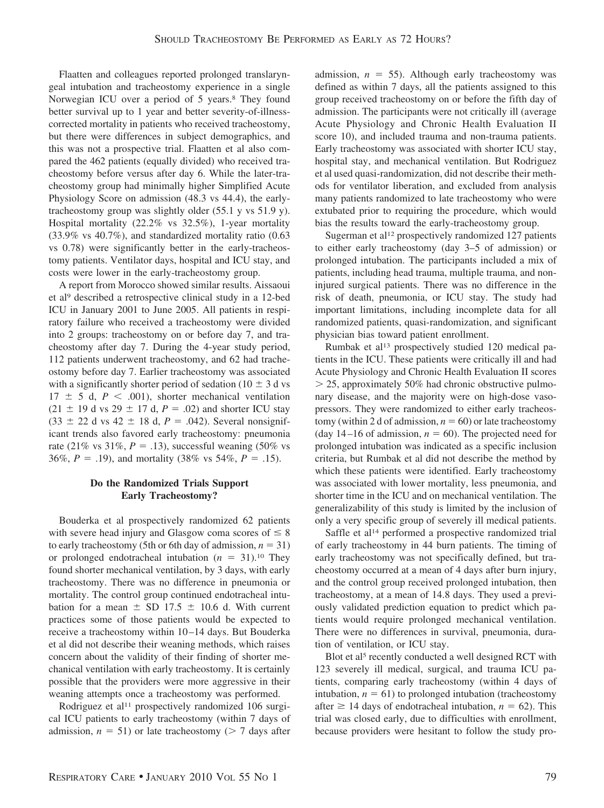Flaatten and colleagues reported prolonged translaryngeal intubation and tracheostomy experience in a single Norwegian ICU over a period of 5 years.8 They found better survival up to 1 year and better severity-of-illnesscorrected mortality in patients who received tracheostomy, but there were differences in subject demographics, and this was not a prospective trial. Flaatten et al also compared the 462 patients (equally divided) who received tracheostomy before versus after day 6. While the later-tracheostomy group had minimally higher Simplified Acute Physiology Score on admission (48.3 vs 44.4), the earlytracheostomy group was slightly older (55.1 y vs 51.9 y). Hospital mortality (22.2% vs 32.5%), 1-year mortality (33.9% vs 40.7%), and standardized mortality ratio (0.63 vs 0.78) were significantly better in the early-tracheostomy patients. Ventilator days, hospital and ICU stay, and costs were lower in the early-tracheostomy group.

A report from Morocco showed similar results. Aissaoui et al9 described a retrospective clinical study in a 12-bed ICU in January 2001 to June 2005. All patients in respiratory failure who received a tracheostomy were divided into 2 groups: tracheostomy on or before day 7, and tracheostomy after day 7. During the 4-year study period, 112 patients underwent tracheostomy, and 62 had tracheostomy before day 7. Earlier tracheostomy was associated with a significantly shorter period of sedation ( $10 \pm 3$  d vs  $17 \pm 5$  d,  $P \leq .001$ ), shorter mechanical ventilation  $(21 \pm 19 \text{ d vs } 29 \pm 17 \text{ d}, P = .02)$  and shorter ICU stay  $(33 \pm 22 \text{ d vs } 42 \pm 18 \text{ d}, P = .042)$ . Several nonsignificant trends also favored early tracheostomy: pneumonia rate (21% vs  $31\%, P = .13$ ), successful weaning (50% vs 36%,  $P = .19$ ), and mortality (38% vs 54%,  $P = .15$ ).

# **Do the Randomized Trials Support Early Tracheostomy?**

Bouderka et al prospectively randomized 62 patients with severe head injury and Glasgow coma scores of  $\leq 8$ to early tracheostomy (5th or 6th day of admission,  $n = 31$ ) or prolonged endotracheal intubation  $(n = 31)$ .<sup>10</sup> They found shorter mechanical ventilation, by 3 days, with early tracheostomy. There was no difference in pneumonia or mortality. The control group continued endotracheal intubation for a mean  $\pm$  SD 17.5  $\pm$  10.6 d. With current practices some of those patients would be expected to receive a tracheostomy within 10 –14 days. But Bouderka et al did not describe their weaning methods, which raises concern about the validity of their finding of shorter mechanical ventilation with early tracheostomy. It is certainly possible that the providers were more aggressive in their weaning attempts once a tracheostomy was performed.

Rodriguez et al<sup>11</sup> prospectively randomized 106 surgical ICU patients to early tracheostomy (within 7 days of admission,  $n = 51$ ) or late tracheostomy ( $> 7$  days after

admission,  $n = 55$ ). Although early tracheostomy was defined as within 7 days, all the patients assigned to this group received tracheostomy on or before the fifth day of admission. The participants were not critically ill (average Acute Physiology and Chronic Health Evaluation II score 10), and included trauma and non-trauma patients. Early tracheostomy was associated with shorter ICU stay, hospital stay, and mechanical ventilation. But Rodriguez et al used quasi-randomization, did not describe their methods for ventilator liberation, and excluded from analysis many patients randomized to late tracheostomy who were extubated prior to requiring the procedure, which would bias the results toward the early-tracheostomy group.

Sugerman et al<sup>12</sup> prospectively randomized 127 patients to either early tracheostomy (day 3–5 of admission) or prolonged intubation. The participants included a mix of patients, including head trauma, multiple trauma, and noninjured surgical patients. There was no difference in the risk of death, pneumonia, or ICU stay. The study had important limitations, including incomplete data for all randomized patients, quasi-randomization, and significant physician bias toward patient enrollment.

Rumbak et al<sup>13</sup> prospectively studied 120 medical patients in the ICU. These patients were critically ill and had Acute Physiology and Chronic Health Evaluation II scores  $>$  25, approximately 50% had chronic obstructive pulmonary disease, and the majority were on high-dose vasopressors. They were randomized to either early tracheostomy (within 2 d of admission,  $n = 60$ ) or late tracheostomy (day 14–16 of admission,  $n = 60$ ). The projected need for prolonged intubation was indicated as a specific inclusion criteria, but Rumbak et al did not describe the method by which these patients were identified. Early tracheostomy was associated with lower mortality, less pneumonia, and shorter time in the ICU and on mechanical ventilation. The generalizability of this study is limited by the inclusion of only a very specific group of severely ill medical patients.

Saffle et al<sup>14</sup> performed a prospective randomized trial of early tracheostomy in 44 burn patients. The timing of early tracheostomy was not specifically defined, but tracheostomy occurred at a mean of 4 days after burn injury, and the control group received prolonged intubation, then tracheostomy, at a mean of 14.8 days. They used a previously validated prediction equation to predict which patients would require prolonged mechanical ventilation. There were no differences in survival, pneumonia, duration of ventilation, or ICU stay.

Blot et al<sup>5</sup> recently conducted a well designed RCT with 123 severely ill medical, surgical, and trauma ICU patients, comparing early tracheostomy (within 4 days of intubation,  $n = 61$ ) to prolonged intubation (tracheostomy after  $\geq$  14 days of endotracheal intubation,  $n = 62$ ). This trial was closed early, due to difficulties with enrollment, because providers were hesitant to follow the study pro-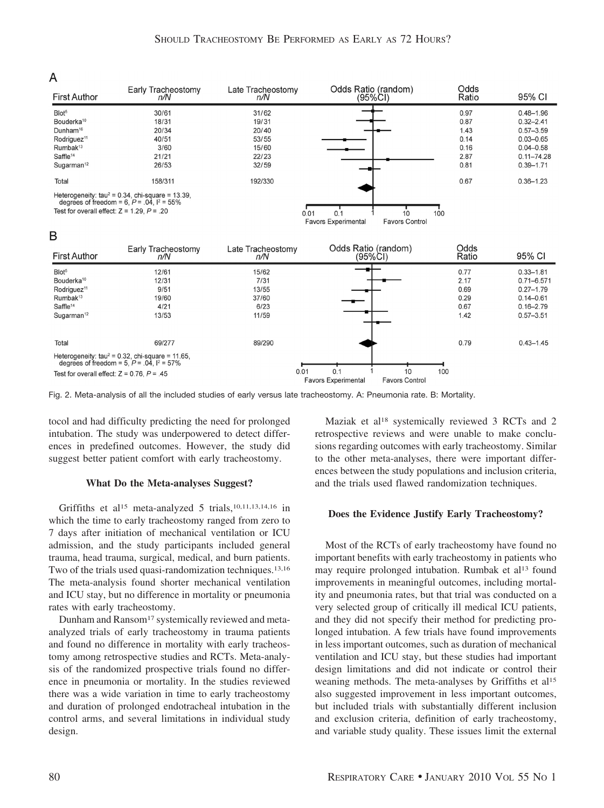# A

| <b>First Author</b>                             | Early Tracheostomy<br>n/N                                                                               | ∟ate Tracheostomy<br>n/N | Odds Ratio (random)<br>(95%CI)                      | Odds<br>Ratio | 95% CI         |
|-------------------------------------------------|---------------------------------------------------------------------------------------------------------|--------------------------|-----------------------------------------------------|---------------|----------------|
| Blot <sup>5</sup>                               | 30/61                                                                                                   | 31/62                    |                                                     | 0.97          | $0.48 - 1.96$  |
| Bouderka <sup>10</sup>                          | 18/31                                                                                                   | 19/31                    |                                                     | 0.87          | $0.32 - 2.41$  |
| Dunham <sup>16</sup>                            | 20/34                                                                                                   | 20/40                    |                                                     | 1.43          | $0.57 - 3.59$  |
| Rodriguez <sup>11</sup>                         | 40/51                                                                                                   | 53/55                    |                                                     | 0.14          | $0.03 - 0.65$  |
| Rumbak <sup>13</sup>                            | 3/60                                                                                                    | 15/60                    |                                                     | 0.16          | $0.04 - 0.58$  |
| Saffle <sup>14</sup>                            | 21/21                                                                                                   | 22/23                    |                                                     | 2.87          | $0.11 - 74.28$ |
| Sugarman <sup>12</sup>                          | 26/53                                                                                                   | 32/59                    |                                                     | 0.81          | $0.39 - 1.71$  |
| Total                                           | 158/311                                                                                                 | 192/330                  |                                                     | 0.67          | $0.36 - 1.23$  |
|                                                 | Heterogeneity: $tau^2 = 0.34$ , chi-square = 13.39,<br>degrees of freedom = 6, $P = .04$ , $I^2 = 55\%$ |                          |                                                     |               |                |
| Test for overall effect: $Z = 1.29$ , $P = .20$ |                                                                                                         |                          | 0.01<br>0.1<br>10                                   | 100           |                |
|                                                 |                                                                                                         |                          | <b>Favors Experimental</b><br><b>Favors Control</b> |               |                |

### B

| <b>First Author</b>                                                                                                                              | Early Tracheostomy<br>n/N                                                                                         | Late Tracheostomy<br>n/N                         | Odds Ratio (random)<br>(95%CI)                                   | Odds<br>Ratio                                | 95% CI                                                                                              |
|--------------------------------------------------------------------------------------------------------------------------------------------------|-------------------------------------------------------------------------------------------------------------------|--------------------------------------------------|------------------------------------------------------------------|----------------------------------------------|-----------------------------------------------------------------------------------------------------|
| Blot <sup>5</sup><br>Bouderka <sup>10</sup><br>Rodriguez <sup>11</sup><br>Rumbak <sup>13</sup><br>Saffle <sup>14</sup><br>Sugarman <sup>12</sup> | 12/61<br>12/31<br>9/51<br>19/60<br>4/21<br>13/53                                                                  | 15/62<br>7/31<br>13/55<br>37/60<br>6/23<br>11/59 |                                                                  | 0.77<br>2.17<br>0.69<br>0.29<br>0.67<br>1.42 | $0.33 - 1.81$<br>$0.71 - 6.571$<br>$0.27 - 1.79$<br>$0.14 - 0.61$<br>$0.16 - 2.79$<br>$0.57 - 3.51$ |
| Total<br>Test for overall effect: $Z = 0.76$ , $P = .45$                                                                                         | 69/277<br>Heterogeneity: $tau^2 = 0.32$ , chi-square = 11.65.<br>degrees of freedom = 5, $P = .04$ , $1^2 = 57\%$ | 89/290<br>0.01                                   | 0.1<br>10<br><b>Favors Experimental</b><br><b>Eavors Control</b> | 0.79<br>100                                  | $0.43 - 1.45$                                                                                       |

Fig. 2. Meta-analysis of all the included studies of early versus late tracheostomy. A: Pneumonia rate. B: Mortality.

tocol and had difficulty predicting the need for prolonged intubation. The study was underpowered to detect differences in predefined outcomes. However, the study did suggest better patient comfort with early tracheostomy.

#### **What Do the Meta-analyses Suggest?**

Griffiths et al<sup>15</sup> meta-analyzed 5 trials,<sup>10,11,13,14,16</sup> in which the time to early tracheostomy ranged from zero to 7 days after initiation of mechanical ventilation or ICU admission, and the study participants included general trauma, head trauma, surgical, medical, and burn patients. Two of the trials used quasi-randomization techniques.13,16 The meta-analysis found shorter mechanical ventilation and ICU stay, but no difference in mortality or pneumonia rates with early tracheostomy.

Dunham and Ransom<sup>17</sup> systemically reviewed and metaanalyzed trials of early tracheostomy in trauma patients and found no difference in mortality with early tracheostomy among retrospective studies and RCTs. Meta-analysis of the randomized prospective trials found no difference in pneumonia or mortality. In the studies reviewed there was a wide variation in time to early tracheostomy and duration of prolonged endotracheal intubation in the control arms, and several limitations in individual study design.

Maziak et al<sup>18</sup> systemically reviewed 3 RCTs and 2 retrospective reviews and were unable to make conclusions regarding outcomes with early tracheostomy. Similar to the other meta-analyses, there were important differences between the study populations and inclusion criteria, and the trials used flawed randomization techniques.

#### **Does the Evidence Justify Early Tracheostomy?**

Most of the RCTs of early tracheostomy have found no important benefits with early tracheostomy in patients who may require prolonged intubation. Rumbak et al<sup>13</sup> found improvements in meaningful outcomes, including mortality and pneumonia rates, but that trial was conducted on a very selected group of critically ill medical ICU patients, and they did not specify their method for predicting prolonged intubation. A few trials have found improvements in less important outcomes, such as duration of mechanical ventilation and ICU stay, but these studies had important design limitations and did not indicate or control their weaning methods. The meta-analyses by Griffiths et al<sup>15</sup> also suggested improvement in less important outcomes, but included trials with substantially different inclusion and exclusion criteria, definition of early tracheostomy, and variable study quality. These issues limit the external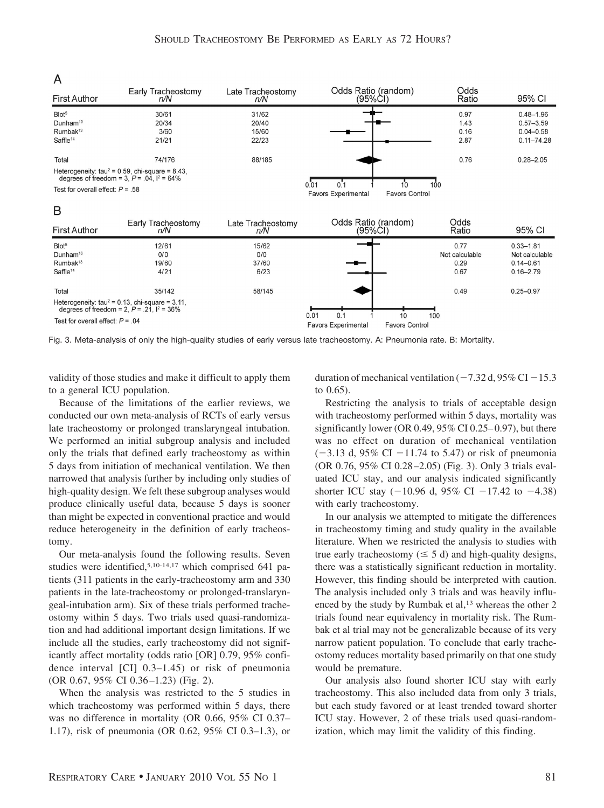$\sim$   $\sim$   $\sim$   $\sim$   $\sim$ 

# A

| <b>First Author</b>                | Early Tracheostomy<br>n/N                                                                              | Late Tracheostomy<br>n/N | Odds Ratio (random)<br>(95%CI)                                     | Odds<br>Ratio | 95% CI         |
|------------------------------------|--------------------------------------------------------------------------------------------------------|--------------------------|--------------------------------------------------------------------|---------------|----------------|
| Blot <sup>5</sup>                  | 30/61                                                                                                  | 31/62                    |                                                                    | 0.97          | $0.48 - 1.96$  |
| Dunham <sup>10</sup>               | 20/34                                                                                                  | 20/40                    |                                                                    | 1.43          | $0.57 - 3.59$  |
| Rumbak <sup>13</sup>               | 3/60                                                                                                   | 15/60                    |                                                                    | 0.16          | $0.04 - 0.58$  |
| Saffle <sup>14</sup>               | 21/21                                                                                                  | 22/23                    |                                                                    | 2.87          | $0.11 - 74.28$ |
| Total                              | 74/176                                                                                                 | 88/185                   |                                                                    | 0.76          | $0.28 - 2.05$  |
|                                    | Heterogeneity: $tau^2 = 0.59$ , chi-square = 8.43,<br>degrees of freedom = 3, $P = .04$ , $1^2 = 64\%$ |                          |                                                                    |               |                |
| Test for overall effect: $P = .58$ |                                                                                                        |                          | 100<br>0.01<br><b>Favors Control</b><br><b>Favors Experimental</b> |               |                |
| B                                  |                                                                                                        |                          |                                                                    |               |                |
| <b>First Author</b>                | Early Tracheostomy<br>n/N                                                                              | Late Tracheostomy<br>n/N | Odds Ratio (random)<br>(95%CI)                                     | Odds<br>Ratio | 95% CI         |
|                                    |                                                                                                        |                          |                                                                    |               |                |

| <b>First Author</b>                                                                       | Early Tracheostomy<br>n/N                                                                              | Late Tracheostomy<br>n/N      | <b>OUUS Ralio Hangoin</b><br>(95%CI)                                     | vuus<br>Ratio                          | 95% CI                                                            |
|-------------------------------------------------------------------------------------------|--------------------------------------------------------------------------------------------------------|-------------------------------|--------------------------------------------------------------------------|----------------------------------------|-------------------------------------------------------------------|
| Blot <sup>5</sup><br>Dunham <sup>16</sup><br>Rumbak <sup>13</sup><br>Saffle <sup>14</sup> | 12/61<br>0/0<br>19/60<br>4/21                                                                          | 15/62<br>0/0<br>37/60<br>6/23 |                                                                          | 0.77<br>Not calculable<br>0.29<br>0.67 | $0.33 - 1.81$<br>Not calculable<br>$0.14 - 0.61$<br>$0.16 - 2.79$ |
| Total                                                                                     | 35/142                                                                                                 | 58/145                        |                                                                          | 0.49                                   | $0.25 - 0.97$                                                     |
|                                                                                           | Heterogeneity: $tau^2 = 0.13$ , chi-square = 3.11,<br>degrees of freedom = 2, $P = .21$ , $I^2 = 36\%$ |                               |                                                                          |                                        |                                                                   |
| Test for overall effect: $P = 0.04$                                                       |                                                                                                        |                               | 0.01<br>0.1<br>10<br><b>Eavors Control</b><br><b>Eavors Experimental</b> | 100                                    |                                                                   |

Fig. 3. Meta-analysis of only the high-quality studies of early versus late tracheostomy. A: Pneumonia rate. B: Mortality.

validity of those studies and make it difficult to apply them to a general ICU population.

Because of the limitations of the earlier reviews, we conducted our own meta-analysis of RCTs of early versus late tracheostomy or prolonged translaryngeal intubation. We performed an initial subgroup analysis and included only the trials that defined early tracheostomy as within 5 days from initiation of mechanical ventilation. We then narrowed that analysis further by including only studies of high-quality design. We felt these subgroup analyses would produce clinically useful data, because 5 days is sooner than might be expected in conventional practice and would reduce heterogeneity in the definition of early tracheostomy.

Our meta-analysis found the following results. Seven studies were identified,5,10-14,17 which comprised 641 patients (311 patients in the early-tracheostomy arm and 330 patients in the late-tracheostomy or prolonged-translaryngeal-intubation arm). Six of these trials performed tracheostomy within 5 days. Two trials used quasi-randomization and had additional important design limitations. If we include all the studies, early tracheostomy did not significantly affect mortality (odds ratio [OR] 0.79, 95% confidence interval [CI] 0.3–1.45) or risk of pneumonia (OR 0.67, 95% CI 0.36 –1.23) (Fig. 2).

When the analysis was restricted to the 5 studies in which tracheostomy was performed within 5 days, there was no difference in mortality (OR 0.66, 95% CI 0.37– 1.17), risk of pneumonia (OR 0.62, 95% CI 0.3–1.3), or duration of mechanical ventilation ( $-7.32$  d, 95% CI  $-15.3$ ) to 0.65).

 $\sim$   $\sim$ 

Restricting the analysis to trials of acceptable design with tracheostomy performed within 5 days, mortality was significantly lower (OR  $0.49, 95\%$  CI  $0.25-0.97$ ), but there was no effect on duration of mechanical ventilation  $(-3.13 \text{ d}, 95\% \text{ CI} -11.74 \text{ to } 5.47)$  or risk of pneumonia (OR 0.76, 95% CI 0.28 –2.05) (Fig. 3). Only 3 trials evaluated ICU stay, and our analysis indicated significantly shorter ICU stay  $(-10.96 \text{ d}, 95\% \text{ CI} -17.42 \text{ to } -4.38)$ with early tracheostomy.

In our analysis we attempted to mitigate the differences in tracheostomy timing and study quality in the available literature. When we restricted the analysis to studies with true early tracheostomy ( $\leq 5$  d) and high-quality designs, there was a statistically significant reduction in mortality. However, this finding should be interpreted with caution. The analysis included only 3 trials and was heavily influenced by the study by Rumbak et al,<sup>13</sup> whereas the other 2 trials found near equivalency in mortality risk. The Rumbak et al trial may not be generalizable because of its very narrow patient population. To conclude that early tracheostomy reduces mortality based primarily on that one study would be premature.

Our analysis also found shorter ICU stay with early tracheostomy. This also included data from only 3 trials, but each study favored or at least trended toward shorter ICU stay. However, 2 of these trials used quasi-randomization, which may limit the validity of this finding.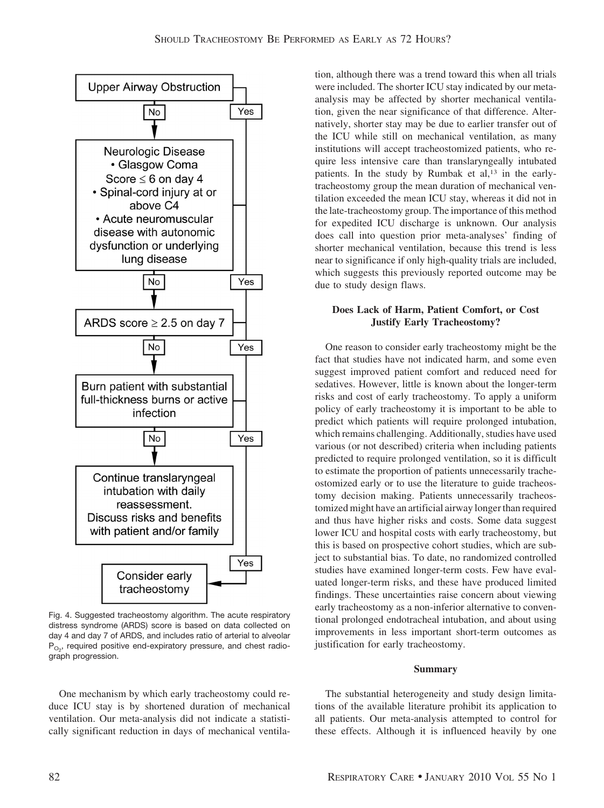

Fig. 4. Suggested tracheostomy algorithm. The acute respiratory distress syndrome (ARDS) score is based on data collected on day 4 and day 7 of ARDS, and includes ratio of arterial to alveolar  $P_{O_2}$ , required positive end-expiratory pressure, and chest radiograph progression.

One mechanism by which early tracheostomy could reduce ICU stay is by shortened duration of mechanical ventilation. Our meta-analysis did not indicate a statistically significant reduction in days of mechanical ventila-

tion, although there was a trend toward this when all trials were included. The shorter ICU stay indicated by our metaanalysis may be affected by shorter mechanical ventilation, given the near significance of that difference. Alternatively, shorter stay may be due to earlier transfer out of the ICU while still on mechanical ventilation, as many institutions will accept tracheostomized patients, who require less intensive care than translaryngeally intubated patients. In the study by Rumbak et al,<sup>13</sup> in the earlytracheostomy group the mean duration of mechanical ventilation exceeded the mean ICU stay, whereas it did not in the late-tracheostomy group. The importance of this method for expedited ICU discharge is unknown. Our analysis does call into question prior meta-analyses' finding of shorter mechanical ventilation, because this trend is less near to significance if only high-quality trials are included, which suggests this previously reported outcome may be due to study design flaws.

# **Does Lack of Harm, Patient Comfort, or Cost Justify Early Tracheostomy?**

One reason to consider early tracheostomy might be the fact that studies have not indicated harm, and some even suggest improved patient comfort and reduced need for sedatives. However, little is known about the longer-term risks and cost of early tracheostomy. To apply a uniform policy of early tracheostomy it is important to be able to predict which patients will require prolonged intubation, which remains challenging. Additionally, studies have used various (or not described) criteria when including patients predicted to require prolonged ventilation, so it is difficult to estimate the proportion of patients unnecessarily tracheostomized early or to use the literature to guide tracheostomy decision making. Patients unnecessarily tracheostomized might have an artificial airway longer than required and thus have higher risks and costs. Some data suggest lower ICU and hospital costs with early tracheostomy, but this is based on prospective cohort studies, which are subject to substantial bias. To date, no randomized controlled studies have examined longer-term costs. Few have evaluated longer-term risks, and these have produced limited findings. These uncertainties raise concern about viewing early tracheostomy as a non-inferior alternative to conventional prolonged endotracheal intubation, and about using improvements in less important short-term outcomes as justification for early tracheostomy.

#### **Summary**

The substantial heterogeneity and study design limitations of the available literature prohibit its application to all patients. Our meta-analysis attempted to control for these effects. Although it is influenced heavily by one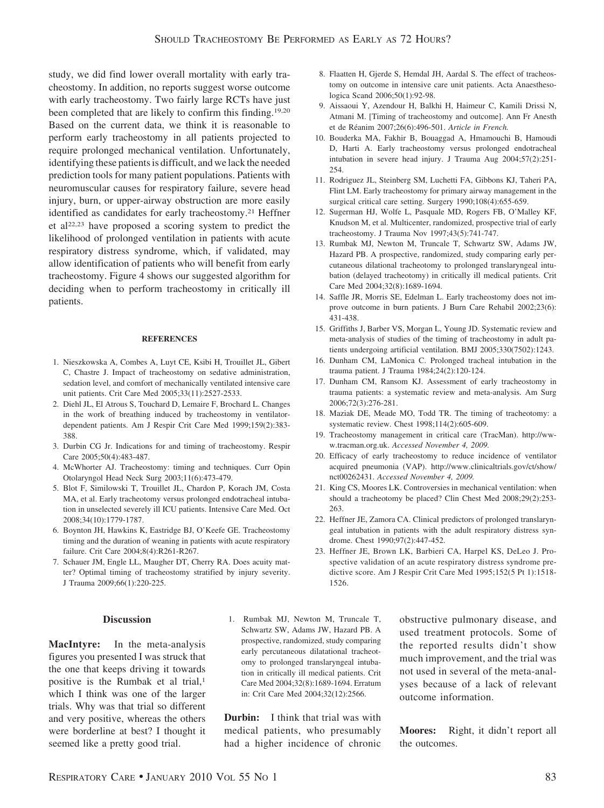study, we did find lower overall mortality with early tracheostomy. In addition, no reports suggest worse outcome with early tracheostomy. Two fairly large RCTs have just been completed that are likely to confirm this finding.<sup>19,20</sup> Based on the current data, we think it is reasonable to perform early tracheostomy in all patients projected to require prolonged mechanical ventilation. Unfortunately, identifying these patients is difficult, and we lack the needed prediction tools for many patient populations. Patients with neuromuscular causes for respiratory failure, severe head injury, burn, or upper-airway obstruction are more easily identified as candidates for early tracheostomy.<sup>21</sup> Heffner et al22,23 have proposed a scoring system to predict the likelihood of prolonged ventilation in patients with acute respiratory distress syndrome, which, if validated, may allow identification of patients who will benefit from early tracheostomy. Figure 4 shows our suggested algorithm for deciding when to perform tracheostomy in critically ill patients.

#### **REFERENCES**

- 1. Nieszkowska A, Combes A, Luyt CE, Ksibi H, Trouillet JL, Gibert C, Chastre J. Impact of tracheostomy on sedative administration, sedation level, and comfort of mechanically ventilated intensive care unit patients. Crit Care Med 2005;33(11):2527-2533.
- 2. Diehl JL, El Atrous S, Touchard D, Lemaire F, Brochard L. Changes in the work of breathing induced by tracheostomy in ventilatordependent patients. Am J Respir Crit Care Med 1999;159(2):383- 388.
- 3. Durbin CG Jr. Indications for and timing of tracheostomy. Respir Care 2005;50(4):483-487.
- 4. McWhorter AJ. Tracheostomy: timing and techniques. Curr Opin Otolaryngol Head Neck Surg 2003;11(6):473-479.
- 5. Blot F, Similowski T, Trouillet JL, Chardon P, Korach JM, Costa MA, et al. Early tracheotomy versus prolonged endotracheal intubation in unselected severely ill ICU patients. Intensive Care Med. Oct 2008;34(10):1779-1787.
- 6. Boynton JH, Hawkins K, Eastridge BJ, O'Keefe GE. Tracheostomy timing and the duration of weaning in patients with acute respiratory failure. Crit Care 2004;8(4):R261-R267.
- 7. Schauer JM, Engle LL, Maugher DT, Cherry RA. Does acuity matter? Optimal timing of tracheostomy stratified by injury severity. J Trauma 2009;66(1):220-225.

#### **Discussion**

**MacIntyre:** In the meta-analysis figures you presented I was struck that the one that keeps driving it towards positive is the Rumbak et al trial,<sup>1</sup> which I think was one of the larger trials. Why was that trial so different and very positive, whereas the others were borderline at best? I thought it seemed like a pretty good trial.

1. Rumbak MJ, Newton M, Truncale T, Schwartz SW, Adams JW, Hazard PB. A prospective, randomized, study comparing early percutaneous dilatational tracheotomy to prolonged translaryngeal intubation in critically ill medical patients. Crit Care Med 2004;32(8):1689-1694. Erratum in: Crit Care Med 2004;32(12):2566.

**Durbin:** I think that trial was with medical patients, who presumably had a higher incidence of chronic

- 8. Flaatten H, Gjerde S, Hemdal JH, Aardal S. The effect of tracheostomy on outcome in intensive care unit patients. Acta Anaesthesologica Scand 2006;50(1):92-98.
- 9. Aissaoui Y, Azendour H, Balkhi H, Haimeur C, Kamili Drissi N, Atmani M. [Timing of tracheostomy and outcome]. Ann Fr Anesth et de Re´anim 2007;26(6):496-501. *Article in French.*
- 10. Bouderka MA, Fakhir B, Bouaggad A, Hmamouchi B, Hamoudi D, Harti A. Early tracheostomy versus prolonged endotracheal intubation in severe head injury. J Trauma Aug 2004;57(2):251- 254.
- 11. Rodriguez JL, Steinberg SM, Luchetti FA, Gibbons KJ, Taheri PA, Flint LM. Early tracheostomy for primary airway management in the surgical critical care setting. Surgery 1990;108(4):655-659.
- 12. Sugerman HJ, Wolfe L, Pasquale MD, Rogers FB, O'Malley KF, Knudson M, et al. Multicenter, randomized, prospective trial of early tracheostomy. J Trauma Nov 1997;43(5):741-747.
- 13. Rumbak MJ, Newton M, Truncale T, Schwartz SW, Adams JW, Hazard PB. A prospective, randomized, study comparing early percutaneous dilational tracheotomy to prolonged translaryngeal intubation (delayed tracheotomy) in critically ill medical patients. Crit Care Med 2004;32(8):1689-1694.
- 14. Saffle JR, Morris SE, Edelman L. Early tracheostomy does not improve outcome in burn patients. J Burn Care Rehabil 2002;23(6): 431-438.
- 15. Griffiths J, Barber VS, Morgan L, Young JD. Systematic review and meta-analysis of studies of the timing of tracheostomy in adult patients undergoing artificial ventilation. BMJ 2005;330(7502):1243.
- 16. Dunham CM, LaMonica C. Prolonged tracheal intubation in the trauma patient. J Trauma 1984;24(2):120-124.
- 17. Dunham CM, Ransom KJ. Assessment of early tracheostomy in trauma patients: a systematic review and meta-analysis. Am Surg 2006;72(3):276-281.
- 18. Maziak DE, Meade MO, Todd TR. The timing of tracheotomy: a systematic review. Chest 1998;114(2):605-609.
- 19. Tracheostomy management in critical care (TracMan). http://www.tracman.org.uk. *Accessed November 4, 2009.*
- 20. Efficacy of early tracheostomy to reduce incidence of ventilator acquired pneumonia (VAP). http://www.clinicaltrials.gov/ct/show/ nct00262431. *Accessed November 4, 2009.*
- 21. King CS, Moores LK. Controversies in mechanical ventilation: when should a tracheotomy be placed? Clin Chest Med 2008;29(2):253- 263.
- 22. Heffner JE, Zamora CA. Clinical predictors of prolonged translaryngeal intubation in patients with the adult respiratory distress syndrome. Chest 1990;97(2):447-452.
- 23. Heffner JE, Brown LK, Barbieri CA, Harpel KS, DeLeo J. Prospective validation of an acute respiratory distress syndrome predictive score. Am J Respir Crit Care Med 1995;152(5 Pt 1):1518- 1526.

obstructive pulmonary disease, and used treatment protocols. Some of the reported results didn't show much improvement, and the trial was not used in several of the meta-analyses because of a lack of relevant outcome information.

**Moores:** Right, it didn't report all the outcomes.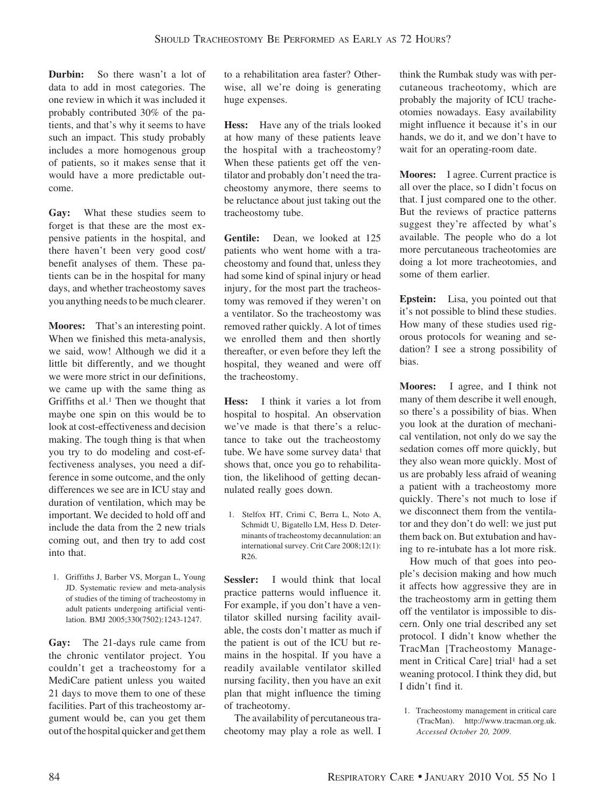**Durbin:** So there wasn't a lot of data to add in most categories. The one review in which it was included it probably contributed 30% of the patients, and that's why it seems to have such an impact. This study probably includes a more homogenous group of patients, so it makes sense that it would have a more predictable outcome.

**Gay:** What these studies seem to forget is that these are the most expensive patients in the hospital, and there haven't been very good cost/ benefit analyses of them. These patients can be in the hospital for many days, and whether tracheostomy saves you anything needs to be much clearer.

**Moores:** That's an interesting point. When we finished this meta-analysis, we said, wow! Although we did it a little bit differently, and we thought we were more strict in our definitions, we came up with the same thing as Griffiths et al.<sup>1</sup> Then we thought that maybe one spin on this would be to look at cost-effectiveness and decision making. The tough thing is that when you try to do modeling and cost-effectiveness analyses, you need a difference in some outcome, and the only differences we see are in ICU stay and duration of ventilation, which may be important. We decided to hold off and include the data from the 2 new trials coming out, and then try to add cost into that.

1. Griffiths J, Barber VS, Morgan L, Young JD. Systematic review and meta-analysis of studies of the timing of tracheostomy in adult patients undergoing artificial ventilation. BMJ 2005;330(7502):1243-1247.

**Gay:** The 21-days rule came from the chronic ventilator project. You couldn't get a tracheostomy for a MediCare patient unless you waited 21 days to move them to one of these facilities. Part of this tracheostomy argument would be, can you get them out of the hospital quicker and get them to a rehabilitation area faster? Otherwise, all we're doing is generating huge expenses.

**Hess:** Have any of the trials looked at how many of these patients leave the hospital with a tracheostomy? When these patients get off the ventilator and probably don't need the tracheostomy anymore, there seems to be reluctance about just taking out the tracheostomy tube.

**Gentile:** Dean, we looked at 125 patients who went home with a tracheostomy and found that, unless they had some kind of spinal injury or head injury, for the most part the tracheostomy was removed if they weren't on a ventilator. So the tracheostomy was removed rather quickly. A lot of times we enrolled them and then shortly thereafter, or even before they left the hospital, they weaned and were off the tracheostomy.

**Hess:** I think it varies a lot from hospital to hospital. An observation we've made is that there's a reluctance to take out the tracheostomy tube. We have some survey data<sup>1</sup> that shows that, once you go to rehabilitation, the likelihood of getting decannulated really goes down.

1. Stelfox HT, Crimi C, Berra L, Noto A, Schmidt U, Bigatello LM, Hess D. Determinants of tracheostomy decannulation: an international survey. Crit Care 2008;12(1): R26.

**Sessler:** I would think that local practice patterns would influence it. For example, if you don't have a ventilator skilled nursing facility available, the costs don't matter as much if the patient is out of the ICU but remains in the hospital. If you have a readily available ventilator skilled nursing facility, then you have an exit plan that might influence the timing of tracheotomy.

The availability of percutaneous tracheotomy may play a role as well. I think the Rumbak study was with percutaneous tracheotomy, which are probably the majority of ICU tracheotomies nowadays. Easy availability might influence it because it's in our hands, we do it, and we don't have to wait for an operating-room date.

**Moores:** I agree. Current practice is all over the place, so I didn't focus on that. I just compared one to the other. But the reviews of practice patterns suggest they're affected by what's available. The people who do a lot more percutaneous tracheotomies are doing a lot more tracheotomies, and some of them earlier.

**Epstein:** Lisa, you pointed out that it's not possible to blind these studies. How many of these studies used rigorous protocols for weaning and sedation? I see a strong possibility of bias.

**Moores:** I agree, and I think not many of them describe it well enough, so there's a possibility of bias. When you look at the duration of mechanical ventilation, not only do we say the sedation comes off more quickly, but they also wean more quickly. Most of us are probably less afraid of weaning a patient with a tracheostomy more quickly. There's not much to lose if we disconnect them from the ventilator and they don't do well: we just put them back on. But extubation and having to re-intubate has a lot more risk.

How much of that goes into people's decision making and how much it affects how aggressive they are in the tracheostomy arm in getting them off the ventilator is impossible to discern. Only one trial described any set protocol. I didn't know whether the TracMan [Tracheostomy Management in Critical Care] trial<sup>1</sup> had a set weaning protocol. I think they did, but I didn't find it.

1. Tracheostomy management in critical care (TracMan). http://www.tracman.org.uk. *Accessed October 20, 2009*.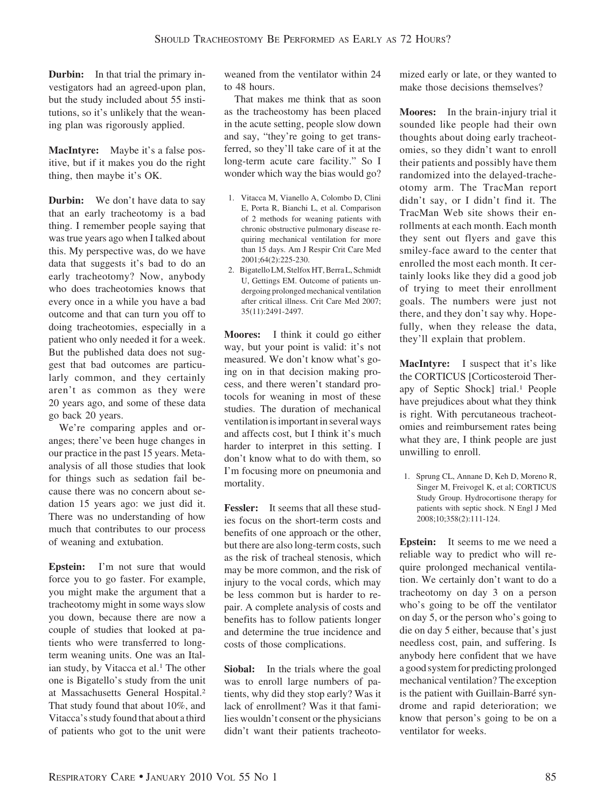**Durbin:** In that trial the primary investigators had an agreed-upon plan, but the study included about 55 institutions, so it's unlikely that the weaning plan was rigorously applied.

**MacIntyre:** Maybe it's a false positive, but if it makes you do the right thing, then maybe it's OK.

**Durbin:** We don't have data to say that an early tracheotomy is a bad thing. I remember people saying that was true years ago when I talked about this. My perspective was, do we have data that suggests it's bad to do an early tracheotomy? Now, anybody who does tracheotomies knows that every once in a while you have a bad outcome and that can turn you off to doing tracheotomies, especially in a patient who only needed it for a week. But the published data does not suggest that bad outcomes are particularly common, and they certainly aren't as common as they were 20 years ago, and some of these data go back 20 years.

We're comparing apples and oranges; there've been huge changes in our practice in the past 15 years. Metaanalysis of all those studies that look for things such as sedation fail because there was no concern about sedation 15 years ago: we just did it. There was no understanding of how much that contributes to our process of weaning and extubation.

**Epstein:** I'm not sure that would force you to go faster. For example, you might make the argument that a tracheotomy might in some ways slow you down, because there are now a couple of studies that looked at patients who were transferred to longterm weaning units. One was an Italian study, by Vitacca et al.<sup>1</sup> The other one is Bigatello's study from the unit at Massachusetts General Hospital.2 That study found that about 10%, and Vitacca's study found that about a third of patients who got to the unit were

weaned from the ventilator within 24 to 48 hours.

That makes me think that as soon as the tracheostomy has been placed in the acute setting, people slow down and say, "they're going to get transferred, so they'll take care of it at the long-term acute care facility." So I wonder which way the bias would go?

- 1. Vitacca M, Vianello A, Colombo D, Clini E, Porta R, Bianchi L, et al. Comparison of 2 methods for weaning patients with chronic obstructive pulmonary disease requiring mechanical ventilation for more than 15 days. Am J Respir Crit Care Med 2001;64(2):225-230.
- 2. Bigatello LM, Stelfox HT, Berra L, Schmidt U, Gettings EM. Outcome of patients undergoing prolonged mechanical ventilation after critical illness. Crit Care Med 2007; 35(11):2491-2497.

**Moores:** I think it could go either way, but your point is valid: it's not measured. We don't know what's going on in that decision making process, and there weren't standard protocols for weaning in most of these studies. The duration of mechanical ventilation is important in several ways and affects cost, but I think it's much harder to interpret in this setting. I don't know what to do with them, so I'm focusing more on pneumonia and mortality.

**Fessler:** It seems that all these studies focus on the short-term costs and benefits of one approach or the other, but there are also long-term costs, such as the risk of tracheal stenosis, which may be more common, and the risk of injury to the vocal cords, which may be less common but is harder to repair. A complete analysis of costs and benefits has to follow patients longer and determine the true incidence and costs of those complications.

**Siobal:** In the trials where the goal was to enroll large numbers of patients, why did they stop early? Was it lack of enrollment? Was it that families wouldn't consent or the physicians didn't want their patients tracheotomized early or late, or they wanted to make those decisions themselves?

**Moores:** In the brain-injury trial it sounded like people had their own thoughts about doing early tracheotomies, so they didn't want to enroll their patients and possibly have them randomized into the delayed-tracheotomy arm. The TracMan report didn't say, or I didn't find it. The TracMan Web site shows their enrollments at each month. Each month they sent out flyers and gave this smiley-face award to the center that enrolled the most each month. It certainly looks like they did a good job of trying to meet their enrollment goals. The numbers were just not there, and they don't say why. Hopefully, when they release the data, they'll explain that problem.

**MacIntyre:** I suspect that it's like the CORTICUS [Corticosteroid Therapy of Septic Shock] trial.1 People have prejudices about what they think is right. With percutaneous tracheotomies and reimbursement rates being what they are, I think people are just unwilling to enroll.

1. Sprung CL, Annane D, Keh D, Moreno R, Singer M, Freivogel K, et al; CORTICUS Study Group. Hydrocortisone therapy for patients with septic shock. N Engl J Med 2008;10;358(2):111-124.

**Epstein:** It seems to me we need a reliable way to predict who will require prolonged mechanical ventilation. We certainly don't want to do a tracheotomy on day 3 on a person who's going to be off the ventilator on day 5, or the person who's going to die on day 5 either, because that's just needless cost, pain, and suffering. Is anybody here confident that we have a good system for predicting prolonged mechanical ventilation? The exception is the patient with Guillain-Barré syndrome and rapid deterioration; we know that person's going to be on a ventilator for weeks.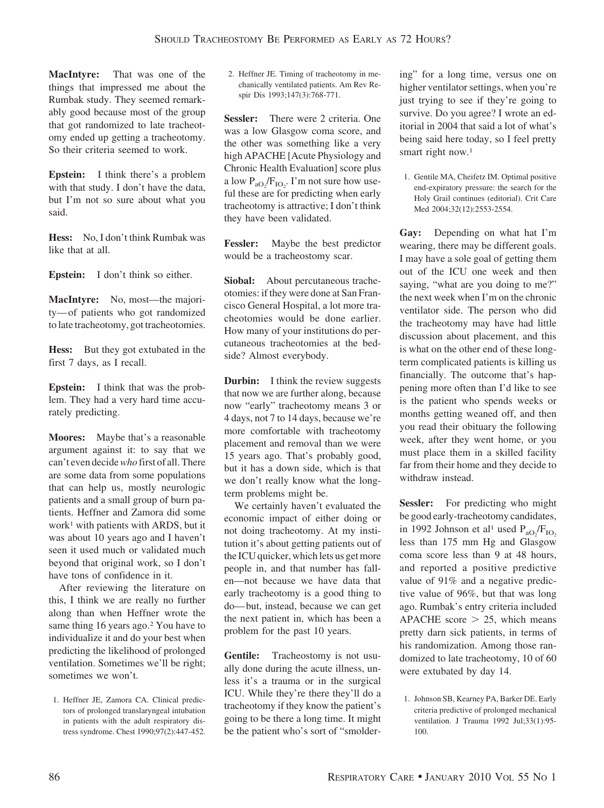**MacIntyre:** That was one of the things that impressed me about the Rumbak study. They seemed remarkably good because most of the group that got randomized to late tracheotomy ended up getting a tracheotomy. So their criteria seemed to work.

**Epstein:** I think there's a problem with that study. I don't have the data, but I'm not so sure about what you said.

**Hess:** No, I don't think Rumbak was like that at all.

**Epstein:** I don't think so either.

**MacIntyre:** No, most—the majority— of patients who got randomized to late tracheotomy, got tracheotomies.

**Hess:** But they got extubated in the first 7 days, as I recall.

**Epstein:** I think that was the problem. They had a very hard time accurately predicting.

**Moores:** Maybe that's a reasonable argument against it: to say that we can't even decide*who* first of all. There are some data from some populations that can help us, mostly neurologic patients and a small group of burn patients. Heffner and Zamora did some work<sup>1</sup> with patients with ARDS, but it was about 10 years ago and I haven't seen it used much or validated much beyond that original work, so I don't have tons of confidence in it.

After reviewing the literature on this, I think we are really no further along than when Heffner wrote the same thing 16 years ago.<sup>2</sup> You have to individualize it and do your best when predicting the likelihood of prolonged ventilation. Sometimes we'll be right; sometimes we won't.

1. Heffner JE, Zamora CA. Clinical predictors of prolonged translaryngeal intubation in patients with the adult respiratory distress syndrome. Chest 1990;97(2):447-452.

2. Heffner JE. Timing of tracheotomy in mechanically ventilated patients. Am Rev Respir Dis 1993;147(3):768-771.

**Sessler:** There were 2 criteria. One was a low Glasgow coma score, and the other was something like a very high APACHE [Acute Physiology and Chronic Health Evaluation] score plus a low  $P_{aO_2}/F_{IO_2}$ . I'm not sure how useful these are for predicting when early tracheotomy is attractive; I don't think they have been validated.

**Fessler:** Maybe the best predictor would be a tracheostomy scar.

**Siobal:** About percutaneous tracheotomies: if they were done at San Francisco General Hospital, a lot more tracheotomies would be done earlier. How many of your institutions do percutaneous tracheotomies at the bedside? Almost everybody.

**Durbin:** I think the review suggests that now we are further along, because now "early" tracheotomy means 3 or 4 days, not 7 to 14 days, because we're more comfortable with tracheotomy placement and removal than we were 15 years ago. That's probably good, but it has a down side, which is that we don't really know what the longterm problems might be.

We certainly haven't evaluated the economic impact of either doing or not doing tracheotomy. At my institution it's about getting patients out of the ICU quicker, which lets us get more people in, and that number has fallen—not because we have data that early tracheotomy is a good thing to do— but, instead, because we can get the next patient in, which has been a problem for the past 10 years.

**Gentile:** Tracheostomy is not usually done during the acute illness, unless it's a trauma or in the surgical ICU. While they're there they'll do a tracheotomy if they know the patient's going to be there a long time. It might be the patient who's sort of "smoldering" for a long time, versus one on higher ventilator settings, when you're just trying to see if they're going to survive. Do you agree? I wrote an editorial in 2004 that said a lot of what's being said here today, so I feel pretty smart right now.<sup>1</sup>

1. Gentile MA, Cheifetz IM. Optimal positive end-expiratory pressure: the search for the Holy Grail continues (editorial). Crit Care Med 2004;32(12):2553-2554.

**Gay:** Depending on what hat I'm wearing, there may be different goals. I may have a sole goal of getting them out of the ICU one week and then saying, "what are you doing to me?" the next week when I'm on the chronic ventilator side. The person who did the tracheotomy may have had little discussion about placement, and this is what on the other end of these longterm complicated patients is killing us financially. The outcome that's happening more often than I'd like to see is the patient who spends weeks or months getting weaned off, and then you read their obituary the following week, after they went home, or you must place them in a skilled facility far from their home and they decide to withdraw instead.

**Sessler:** For predicting who might be good early-tracheotomy candidates, in 1992 Johnson et al<sup>1</sup> used  $P_{aO_2}/F_{IO_2}$ less than 175 mm Hg and Glasgow coma score less than 9 at 48 hours, and reported a positive predictive value of 91% and a negative predictive value of 96%, but that was long ago. Rumbak's entry criteria included APACHE score  $> 25$ , which means pretty darn sick patients, in terms of his randomization. Among those randomized to late tracheotomy, 10 of 60 were extubated by day 14.

<sup>1.</sup> Johnson SB, Kearney PA, Barker DE. Early criteria predictive of prolonged mechanical ventilation. J Trauma 1992 Jul;33(1):95- 100.